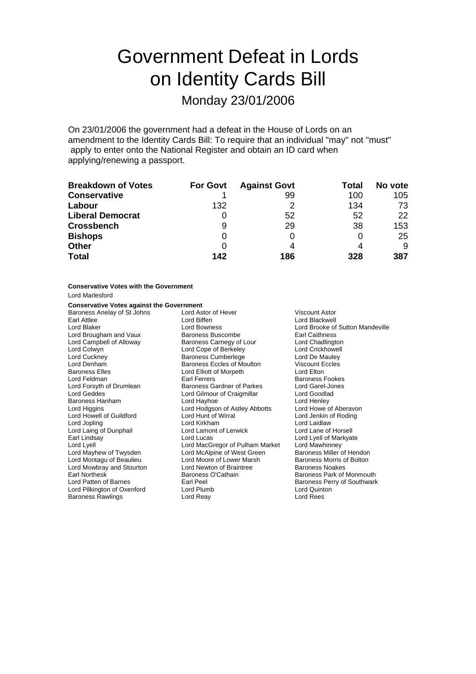# Government Defeat in Lords on Identity Cards Bill

## Monday 23/01/2006

On 23/01/2006 the government had a defeat in the House of Lords on an amendment to the Identity Cards Bill: To require that an individual "may" not "must" apply to enter onto the National Register and obtain an ID card when applying/renewing a passport.

| <b>Breakdown of Votes</b> | <b>For Govt</b> | <b>Against Govt</b> | Total | No vote |
|---------------------------|-----------------|---------------------|-------|---------|
| <b>Conservative</b>       |                 | 99                  | 100   | 105     |
| Labour                    | 132             |                     | 134   | 73      |
| <b>Liberal Democrat</b>   | Ü               | 52                  | 52    | 22      |
| <b>Crossbench</b>         | 9               | 29                  | 38    | 153     |
| <b>Bishops</b>            | O               |                     | 0     | 25      |
| <b>Other</b>              | 0               |                     |       | 9       |
| <b>Total</b>              | 142             | 186                 | 328   | 387     |

**Conservative Votes with the Government** Lord Marlesford

### **Conservative Votes against the Government**

| Baroness Anelay of St Johns | Lord Astor of Hever<br>Viscount Astor |                                  |  |
|-----------------------------|---------------------------------------|----------------------------------|--|
| Earl Attlee                 | Lord Biffen                           | Lord Blackwell                   |  |
| Lord Blaker                 | Lord Bowness                          | Lord Brooke of Sutton Mandeville |  |
| Lord Brougham and Vaux      | <b>Baroness Buscombe</b>              | <b>Earl Caithness</b>            |  |
| Lord Campbell of Alloway    | Baroness Carnegy of Lour              | Lord Chadlington                 |  |
| Lord Colwyn                 | Lord Cope of Berkeley                 | Lord Crickhowell                 |  |
| Lord Cuckney                | <b>Baroness Cumberlege</b>            | Lord De Mauley                   |  |
| Lord Denham                 | Baroness Eccles of Moulton            | Viscount Eccles                  |  |
| <b>Baroness Elles</b>       | Lord Elliott of Morpeth               | Lord Elton                       |  |
| Lord Feldman                | Earl Ferrers                          | <b>Baroness Fookes</b>           |  |
| Lord Forsyth of Drumlean    | Baroness Gardner of Parkes            | Lord Garel-Jones                 |  |
| Lord Geddes                 | Lord Gilmour of Craigmillar           | Lord Goodlad                     |  |
| Baroness Hanham             | Lord Hayhoe                           | Lord Henley                      |  |
| Lord Higgins                | Lord Hodgson of Astley Abbotts        | Lord Howe of Aberavon            |  |
| Lord Howell of Guildford    | Lord Hunt of Wirral                   | Lord Jenkin of Roding            |  |
| Lord Jopling                | Lord Kirkham                          | Lord Laidlaw                     |  |
| Lord Laing of Dunphail      | Lord Lamont of Lerwick                | Lord Lane of Horsell             |  |
| Earl Lindsay                | Lord Lucas                            | Lord Lyell of Markyate           |  |
| Lord Lyell                  | Lord MacGregor of Pulham Market       | Lord Mawhinney                   |  |
| Lord Mayhew of Twysden      | Lord McAlpine of West Green           | Baroness Miller of Hendon        |  |
| Lord Montagu of Beaulieu    | Lord Moore of Lower Marsh             | Baroness Morris of Bolton        |  |
| Lord Mowbray and Stourton   | Lord Newton of Braintree              | Baroness Noakes                  |  |
| Earl Northesk               | Baroness O'Cathain                    | Baroness Park of Monmouth        |  |
| Lord Patten of Barnes       | Earl Peel                             | Baroness Perry of Southwark      |  |
| Lord Pilkington of Oxenford | Lord Plumb                            | Lord Quinton                     |  |
| <b>Baroness Rawlings</b>    | Lord Reay                             | Lord Rees                        |  |
|                             |                                       |                                  |  |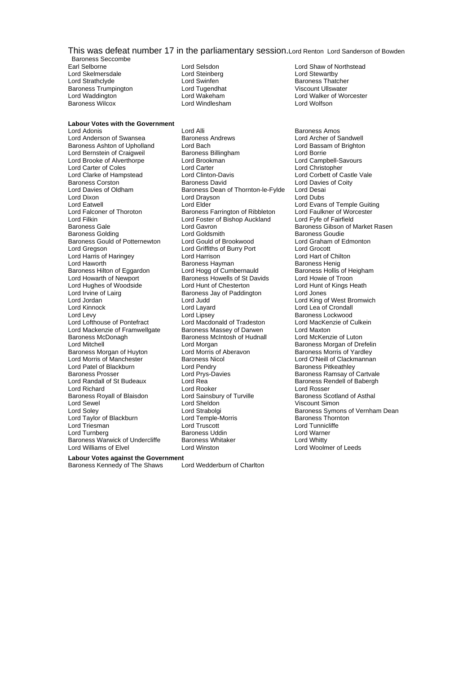### This was defeat number 17 in the parliamentary session.Lord Renton Lord Sanderson of Bowden

Baroness Seccombe<br>Earl Selborne Lord Skelmersdale **Lord Steinberg Lord Steinberg Lord Steinberg**<br>
Lord Strathclyde **Lord Swinfen** Baroness Trumpington Lord Tugendhat<br>
Lord Waddington Lord Wakeham

Lord Windlesham

**Labour Votes with the Government**

Lord Brooke of Alverthorpe<br>Lord Carter of Coles Lord Dixon **Lord Drayson Lord Drayson**<br>1999 Lord Eatwell **Lord Drayson** Lord Falconer of Thoroton Baroness Farrington of Ribbleton Lord Faultington of Ribbleton Lord Foster of Bishop Auckland Lord Harris of Haringey **Lord Harrison**<br>Lord Haworth **Lord Hart of Chilton**<br>Baroness Hayman Baroness McDonagh Baroness McIntosh of Hudnall<br>
Lord Mitchell Lord Morgan Baroness Morgan of Huyton Lord Morris of Aberavon<br>Lord Morris of Manchester Baroness Nicol Lord Patel of Blackburn Lord Pendry<br>
Baroness Prosser Corp Lord Prvs-Davies Baroness Royall of Blaisdon<br>Lord Sewel Lord Taylor of Blackburn Lord Temple-<br>
Lord Triesman Morris Lord Truscott Baroness Warwick of Undercliffe Baroness White<br>
Lord Williams of Elvel Lord Winston

Lord Alli **Lord Alli Baroness Amos**<br> **Raroness Andrews Cord Archer of Sandwell** Lord Anderson of Swansea **Baroness Andrews** Lord Archer of Sandwell<br>Baroness Ashton of Upholland Lord Bach Lord Bassam of Brighton Baroness Ashton of Upholland Lord Bach Lord Bassa<br>
Lord Bernstein of Craigweil Baroness Billingham Lord Borrie Lord Bernstein of Craigweil Baroness Billingham Lord Borrie<br>
Lord Brooke of Alverthorpe Lord Brookman Lord Campbell-Savours Lord Carter of Coles Lord Carter Lord Christopher Lord Clarke of Hampstead Lord Clinton-Davis Lord Corbett of Castle Vale<br>
Lord Corbett of Corston<br>
Baroness Corston Baroness David<br>
Lord Davies of Coitv Baroness Corston **Baroness David** Lord Davies of Coity<br>
Lord Davies of Oldham **Baroness Dean of Thornton-le-Fylde** Lord Desai Lord Davies of Oldham Baroness Dean of Thornton-le-Fylde Lord Desai<br>Lord Dixon Lord Dubs Lord Eatwell<br>
Lord Exans of Temple Guiting<br>
Lord Falconer of Thoroton 
Baroness Farrington of Ribbleton
Lord Faulkner of Worcester Lord Filkin Lord Foster of Bishop Auckland Lord Fyfe of Fairfield Lord Gavron **Baroness Gibson of Market Rasen**<br>
Lord Goldsmith **Baroness Goudie** Baroness Golding The Lord Goldsmith Corporation Baroness Goudie<br>Baroness Gould of Potternewton Lord Gould of Brookwood Lord Graham of Edmonton Baroness Gould of Potternewton Lord Gould of Brookwood Lord Graham<br>Lord Gregson Lord Criffiths of Burry Port Lord Grocott Lord Griffiths of Burry Port Lord Grocott<br>
Lord Harrison Lord Hart of Chilton Lord Haworth Barth Baroness Hayman<br>Baroness Hayman Baroness Hayman Baroness Henig<br>Baroness Hilton of Eggardon Lord Hogg of Cumbernauld Baroness Hollis of Heigham Baroness Hilton of Eggardon Lord Hogg of Cumbernauld Baroness Hollis of Heigham Cord Howarth of Newport Baroness Howells of St Davids Lord Howie of Troon Exaroness Howells of St Davids<br>
Lord Hunt of Chesterton<br>
Lord Hunt of Kings Heath Lord Hughes of Woodside Lord Hunt of Chesterton Lord Hunt of Chesterton Lord Hunt of Chesterton Lord Jones Lord Jones Heathheath Lord Jones Heathheath Lord Jones Heathheath Lord Jones Heathheath Lord Jones Lord Jones Jay o Baroness Jay of Paddington Lord Jordan **Lord Jordan Lord Judden Corporation** Lord Corporation Corporation Lord King of West Bromwich<br>
Lord Kinnock Lord Lord Layard Lord Lord Lea of Crondall Lord Kinnock Lord Layard Lord Lea of Crondall Lord Levy Lord Lipsey Lord Clipsey Baroness Lockwood<br>
Lord Lord Lord MacKenzie of Cord MacConald of Tradeston Lord MacKenzie of C Lord Macdonald of Tradeston Lord MacKenzie of Culkein<br>Baroness Massev of Darwen Lord Maxton Lord Mackenzie of Framwellgate Baroness Massey of Darwen Lord Maxton<br>Baroness McDonagh Baroness McIntosh of Hudnall Lord McKenzie of Luton **Baroness Nicol Corris of Manchester Baroness Nicol Lord O'Neill of Clackmannan**<br>
Lord Pendry Corris Corris Baroness Pitkeathley Baroness Prosser **Lord Prys-Davies** Baroness Ramsay of Cartvale<br>
Lord Randall of St Budeaux Lord Rea **Baroness Rendell of Babergh** Lord Rea Baroness Rendell of Babergh<br>
Lord Rooker<br>
Lord Rosser Lord Richard Cord Rooker Lord Rooker Lord Rosser<br>
Baroness Royall of Blaisdon Lord Sainsbury of Turville Baroness Scotland of Asthal Lord Sewel Lord Sheldon Viscount Simon Lord Turnberg dialong the Baroness Uddin Cord Turnberg Lord Warner<br>
Baroness Warwick of Undercliffe Baroness Whitaker Cord Whitty

Lord Selsdon **Lord Shaw of Northstead**<br>
Lord Steinberg<br>
Lord Stewartby Lord Strathclyde Lord Swinfen Baroness Thatcher Lord Waddington Lord Wakeham Lord Walker of Worcester

> Baroness Morgan of Drefelin<br>Baroness Morris of Yardley Lord Strabolgi **Baroness Symons of Vernham Dean**<br>
> Lord Temple-Morris **Baroness Thornton** Lord Tunnicliffe Lord Woolmer of Leeds

**Labour Votes against the Government**

Baroness Kennedy of The Shaws